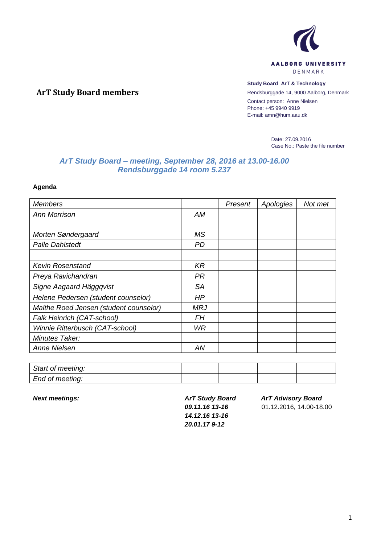

## **Study Board ArT & Technology**

Rendsburggade 14, 9000 Aalborg, Denmark Contact person: Anne Nielsen Phone: +45 9940 9919 E-mail: amn@hum.aau.dk

> Date: 27.09.2016 Case No.: Paste the file number

## *ArT Study Board – meeting, September 28, 2016 at 13.00-16.00 Rendsburggade 14 room 5.237*

**Agenda**

**ArT Study Board members**

| <b>Members</b>                         |           | Present | Apologies | Not met |
|----------------------------------------|-----------|---------|-----------|---------|
| <b>Ann Morrison</b>                    | АM        |         |           |         |
|                                        |           |         |           |         |
| Morten Søndergaard                     | MS.       |         |           |         |
| <b>Palle Dahlstedt</b>                 | PD        |         |           |         |
|                                        |           |         |           |         |
| <b>Kevin Rosenstand</b>                | <b>KR</b> |         |           |         |
| Preya Ravichandran                     | <b>PR</b> |         |           |         |
| Signe Aagaard Häggqvist                | <b>SA</b> |         |           |         |
| Helene Pedersen (student counselor)    | HP        |         |           |         |
| Malthe Roed Jensen (student counselor) | MRJ       |         |           |         |
| Falk Heinrich (CAT-school)             | FΗ        |         |           |         |
| Winnie Ritterbusch (CAT-school)        | WR.       |         |           |         |
| Minutes Taker:                         |           |         |           |         |
| Anne Nielsen                           | ΑN        |         |           |         |

| Start of meeting: |  |  |
|-------------------|--|--|
| End of meeting:   |  |  |

*Next meetings: ArT Study Board 09.11.16 13-16 14.12.16 13-16 20.01.17 9-12*

*ArT Advisory Board*

01.12.2016, 14.00-18.00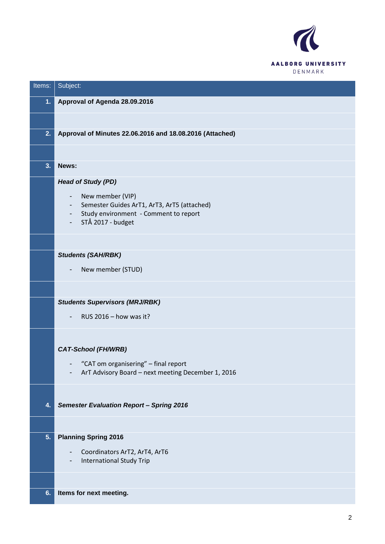

| Items: | Subject:                                                                                        |
|--------|-------------------------------------------------------------------------------------------------|
| 1.     | Approval of Agenda 28.09.2016                                                                   |
|        |                                                                                                 |
| 2.     | Approval of Minutes 22.06.2016 and 18.08.2016 (Attached)                                        |
|        |                                                                                                 |
| 3.     | News:                                                                                           |
|        | <b>Head of Study (PD)</b>                                                                       |
|        | New member (VIP)<br>-<br>Semester Guides ArT1, ArT3, ArT5 (attached)<br>-                       |
|        | Study environment - Comment to report<br>-                                                      |
|        | STÅ 2017 - budget                                                                               |
|        |                                                                                                 |
|        | <b>Students (SAH/RBK)</b>                                                                       |
|        | New member (STUD)                                                                               |
|        |                                                                                                 |
|        | <b>Students Supervisors (MRJ/RBK)</b>                                                           |
|        | RUS 2016 - how was it?                                                                          |
|        |                                                                                                 |
|        | <b>CAT-School (FH/WRB)</b>                                                                      |
|        | "CAT om organisering" - final report<br>ArT Advisory Board - next meeting December 1, 2016<br>- |
|        |                                                                                                 |
|        |                                                                                                 |
| 4.     | <b>Semester Evaluation Report - Spring 2016</b>                                                 |
|        |                                                                                                 |
| 5.     | <b>Planning Spring 2016</b>                                                                     |
|        | Coordinators ArT2, ArT4, ArT6<br><b>International Study Trip</b><br>-                           |
|        |                                                                                                 |
| 6.     | Items for next meeting.                                                                         |
|        |                                                                                                 |